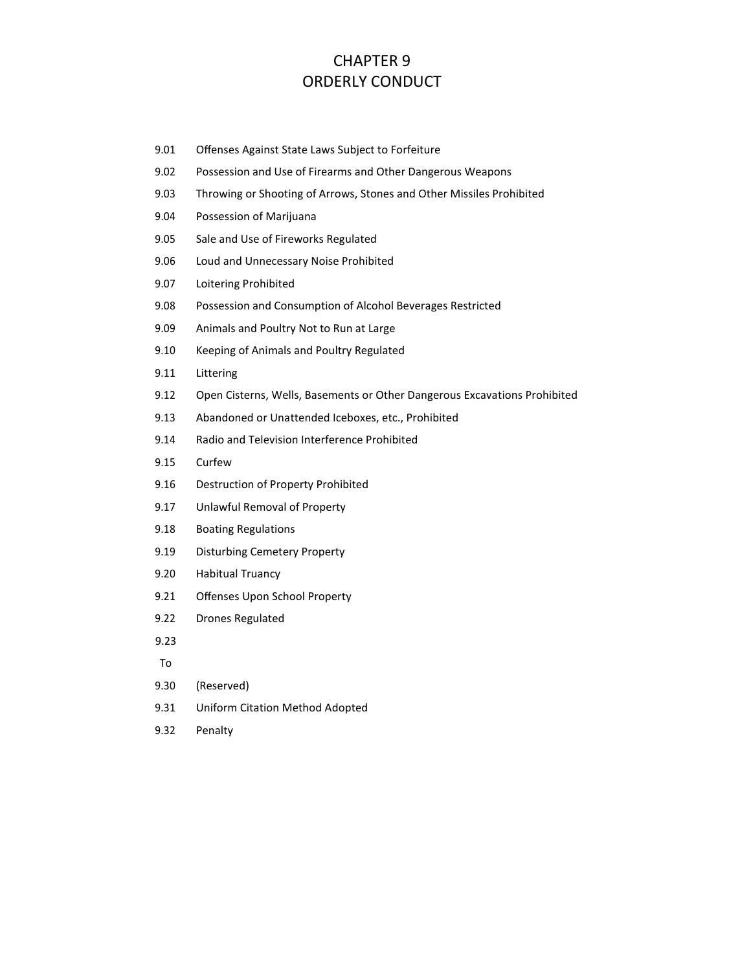# CHAPTER 9 ORDERLY CONDUCT

- 9.01 Offenses Against State Laws Subject to Forfeiture
- 9.02 Possession and Use of Firearms and Other Dangerous Weapons
- 9.03 Throwing or Shooting of Arrows, Stones and Other Missiles Prohibited
- 9.04 Possession of Marijuana
- 9.05 Sale and Use of Fireworks Regulated
- 9.06 Loud and Unnecessary Noise Prohibited
- 9.07 Loitering Prohibited
- 9.08 Possession and Consumption of Alcohol Beverages Restricted
- 9.09 Animals and Poultry Not to Run at Large
- 9.10 Keeping of Animals and Poultry Regulated
- 9.11 Littering
- 9.12 Open Cisterns, Wells, Basements or Other Dangerous Excavations Prohibited
- 9.13 Abandoned or Unattended Iceboxes, etc., Prohibited
- 9.14 Radio and Television Interference Prohibited
- 9.15 Curfew
- 9.16 Destruction of Property Prohibited
- 9.17 Unlawful Removal of Property
- 9.18 Boating Regulations
- 9.19 Disturbing Cemetery Property
- 9.20 Habitual Truancy
- 9.21 Offenses Upon School Property
- 9.22 Drones Regulated
- 9.23
- To
- 9.30 (Reserved)
- 9.31 Uniform Citation Method Adopted
- 9.32 Penalty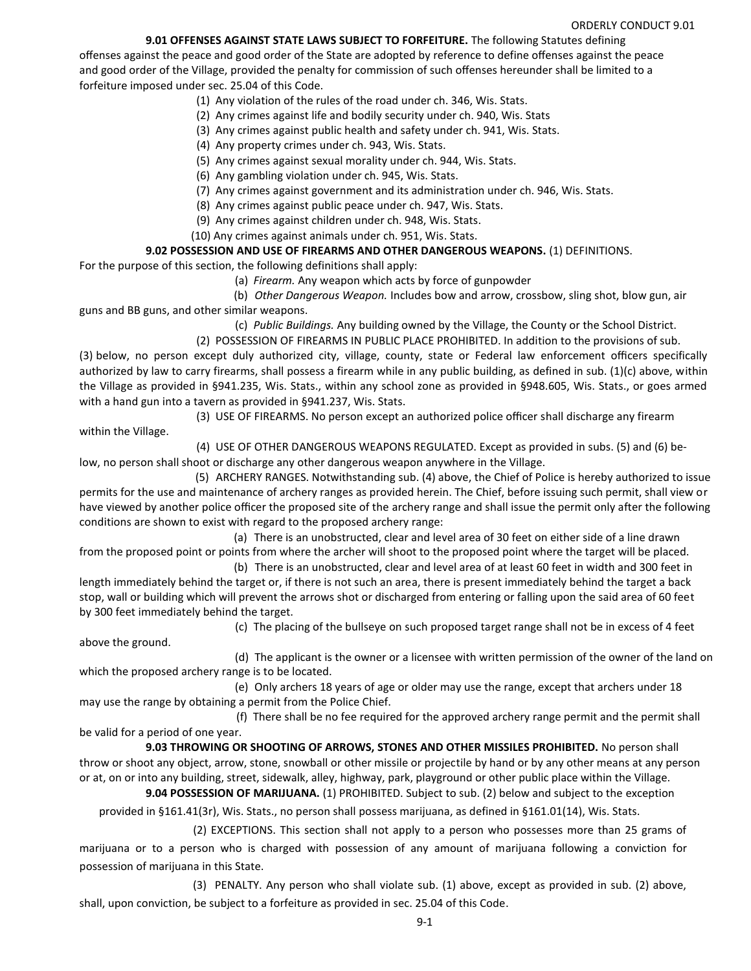#### ORDERLY CONDUCT 9.01

### **9.01 OFFENSES AGAINST STATE LAWS SUBJECT TO FORFEITURE.** The following Statutes defining

offenses against the peace and good order of the State are adopted by reference to define offenses against the peace and good order of the Village, provided the penalty for commission of such offenses hereunder shall be limited to a forfeiture imposed under sec. 25.04 of this Code.

- (1) Any violation of the rules of the road under ch. 346, Wis. Stats.
- (2) Any crimes against life and bodily security under ch. 940, Wis. Stats
- (3) Any crimes against public health and safety under ch. 941, Wis. Stats.
- (4) Any property crimes under ch. 943, Wis. Stats.
- (5) Any crimes against sexual morality under ch. 944, Wis. Stats.
- (6) Any gambling violation under ch. 945, Wis. Stats.
- (7) Any crimes against government and its administration under ch. 946, Wis. Stats.
- (8) Any crimes against public peace under ch. 947, Wis. Stats.
- (9) Any crimes against children under ch. 948, Wis. Stats.
- (10) Any crimes against animals under ch. 951, Wis. Stats.

## **9.02 POSSESSION AND USE OF FIREARMS AND OTHER DANGEROUS WEAPONS.** (1) DEFINITIONS.

For the purpose of this section, the following definitions shall apply:

(a) *Firearm.* Any weapon which acts by force of gunpowder

(b) *Other Dangerous Weapon.* Includes bow and arrow, crossbow, sling shot, blow gun, air guns and BB guns, and other similar weapons.

(c) *Public Buildings.* Any building owned by the Village, the County or the School District.

(2) POSSESSION OF FIREARMS IN PUBLIC PLACE PROHIBITED. In addition to the provisions of sub. (3) below, no person except duly authorized city, village, county, state or Federal law enforcement officers specifically authorized by law to carry firearms, shall possess a firearm while in any public building, as defined in sub. (1)(c) above, within the Village as provided in §941.235, Wis. Stats., within any school zone as provided in §948.605, Wis. Stats., or goes armed with a hand gun into a tavern as provided in §941.237, Wis. Stats.

(3) USE OF FIREARMS. No person except an authorized police officer shall discharge any firearm within the Village.

(4) USE OF OTHER DANGEROUS WEAPONS REGULATED. Except as provided in subs. (5) and (6) be‐

low, no person shall shoot or discharge any other dangerous weapon anywhere in the Village. (5) ARCHERY RANGES. Notwithstanding sub. (4) above, the Chief of Police is hereby authorized to issue

permits for the use and maintenance of archery ranges as provided herein. The Chief, before issuing such permit, shall view or have viewed by another police officer the proposed site of the archery range and shall issue the permit only after the following conditions are shown to exist with regard to the proposed archery range:

(a) There is an unobstructed, clear and level area of 30 feet on either side of a line drawn from the proposed point or points from where the archer will shoot to the proposed point where the target will be placed.

(b) There is an unobstructed, clear and level area of at least 60 feet in width and 300 feet in length immediately behind the target or, if there is not such an area, there is present immediately behind the target a back stop, wall or building which will prevent the arrows shot or discharged from entering or falling upon the said area of 60 feet by 300 feet immediately behind the target.

(c) The placing of the bullseye on such proposed target range shall not be in excess of 4 feet

above the ground.

(d) The applicant is the owner or a licensee with written permission of the owner of the land on

which the proposed archery range is to be located. (e) Only archers 18 years of age or older may use the range, except that archers under 18

may use the range by obtaining a permit from the Police Chief. (f) There shall be no fee required for the approved archery range permit and the permit shall

be valid for a period of one year. **9.03 THROWING OR SHOOTING OF ARROWS, STONES AND OTHER MISSILES PROHIBITED.** No person shall

throw or shoot any object, arrow, stone, snowball or other missile or projectile by hand or by any other means at any person or at, on or into any building, street, sidewalk, alley, highway, park, playground or other public place within the Village. **9.04 POSSESSION OF MARIJUANA.** (1) PROHIBITED. Subject to sub. (2) below and subject to the exception

provided in §161.41(3r), Wis. Stats., no person shall possess marijuana, as defined in §161.01(14), Wis. Stats.

 (2) EXCEPTIONS. This section shall not apply to a person who possesses more than 25 grams of marijuana or to a person who is charged with possession of any amount of marijuana following a conviction for possession of marijuana in this State.

(3) PENALTY. Any person who shall violate sub. (1) above, except as provided in sub. (2) above, shall, upon conviction, be subject to a forfeiture as provided in sec. 25.04 of this Code.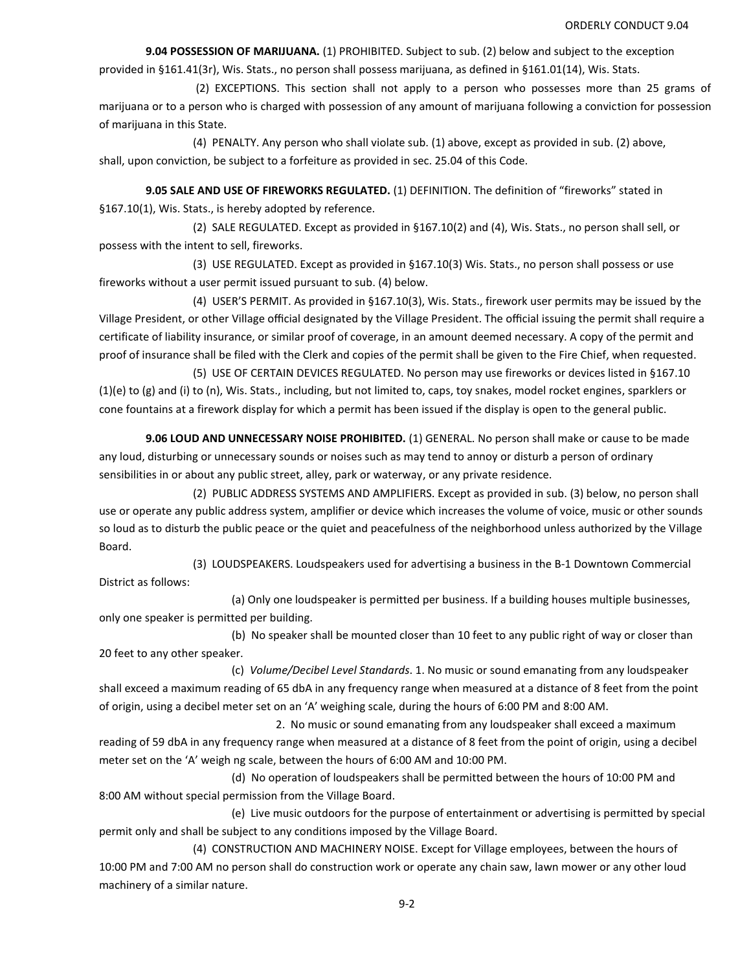**9.04 POSSESSION OF MARIJUANA.** (1) PROHIBITED. Subject to sub. (2) below and subject to the exception provided in §161.41(3r), Wis. Stats., no person shall possess marijuana, as defined in §161.01(14), Wis. Stats.

(2) EXCEPTIONS. This section shall not apply to a person who possesses more than 25 grams of marijuana or to a person who is charged with possession of any amount of marijuana following a conviction for possession of marijuana in this State.

(4) PENALTY. Any person who shall violate sub. (1) above, except as provided in sub. (2) above, shall, upon conviction, be subject to a forfeiture as provided in sec. 25.04 of this Code.

**9.05 SALE AND USE OF FIREWORKS REGULATED.** (1) DEFINITION. The definition of "fireworks" stated in §167.10(1), Wis. Stats., is hereby adopted by reference.

(2) SALE REGULATED. Except as provided in §167.10(2) and (4), Wis. Stats., no person shall sell, or possess with the intent to sell, fireworks.

(3) USE REGULATED. Except as provided in §167.10(3) Wis. Stats., no person shall possess or use fireworks without a user permit issued pursuant to sub. (4) below.

(4) USER'S PERMIT. As provided in §167.10(3), Wis. Stats., firework user permits may be issued by the Village President, or other Village official designated by the Village President. The official issuing the permit shall require a certificate of liability insurance, or similar proof of coverage, in an amount deemed necessary. A copy of the permit and proof of insurance shall be filed with the Clerk and copies of the permit shall be given to the Fire Chief, when requested.

(5) USE OF CERTAIN DEVICES REGULATED. No person may use fireworks or devices listed in §167.10 (1)(e) to (g) and (i) to (n), Wis. Stats., including, but not limited to, caps, toy snakes, model rocket engines, sparklers or cone fountains at a firework display for which a permit has been issued if the display is open to the general public.

**9.06 LOUD AND UNNECESSARY NOISE PROHIBITED.** (1) GENERAL. No person shall make or cause to be made any loud, disturbing or unnecessary sounds or noises such as may tend to annoy or disturb a person of ordinary sensibilities in or about any public street, alley, park or waterway, or any private residence.

(2) PUBLIC ADDRESS SYSTEMS AND AMPLIFIERS. Except as provided in sub. (3) below, no person shall use or operate any public address system, amplifier or device which increases the volume of voice, music or other sounds so loud as to disturb the public peace or the quiet and peacefulness of the neighborhood unless authorized by the Village Board.

(3) LOUDSPEAKERS. Loudspeakers used for advertising a business in the B‐1 Downtown Commercial District as follows:

(a) Only one loudspeaker is permitted per business. If a building houses multiple businesses, only one speaker is permitted per building.

(b) No speaker shall be mounted closer than 10 feet to any public right of way or closer than 20 feet to any other speaker.

(c) *Volume/Decibel Level Standards*. 1. No music or sound emanating from any loudspeaker shall exceed a maximum reading of 65 dbA in any frequency range when measured at a distance of 8 feet from the point of origin, using a decibel meter set on an 'A' weighing scale, during the hours of 6:00 PM and 8:00 AM.

2. No music or sound emanating from any loudspeaker shall exceed a maximum reading of 59 dbA in any frequency range when measured at a distance of 8 feet from the point of origin, using a decibel meter set on the 'A' weigh ng scale, between the hours of 6:00 AM and 10:00 PM.

(d) No operation of loudspeakers shall be permitted between the hours of 10:00 PM and 8:00 AM without special permission from the Village Board.

(e) Live music outdoors for the purpose of entertainment or advertising is permitted by special permit only and shall be subject to any conditions imposed by the Village Board.

(4) CONSTRUCTION AND MACHINERY NOISE. Except for Village employees, between the hours of 10:00 PM and 7:00 AM no person shall do construction work or operate any chain saw, lawn mower or any other loud machinery of a similar nature.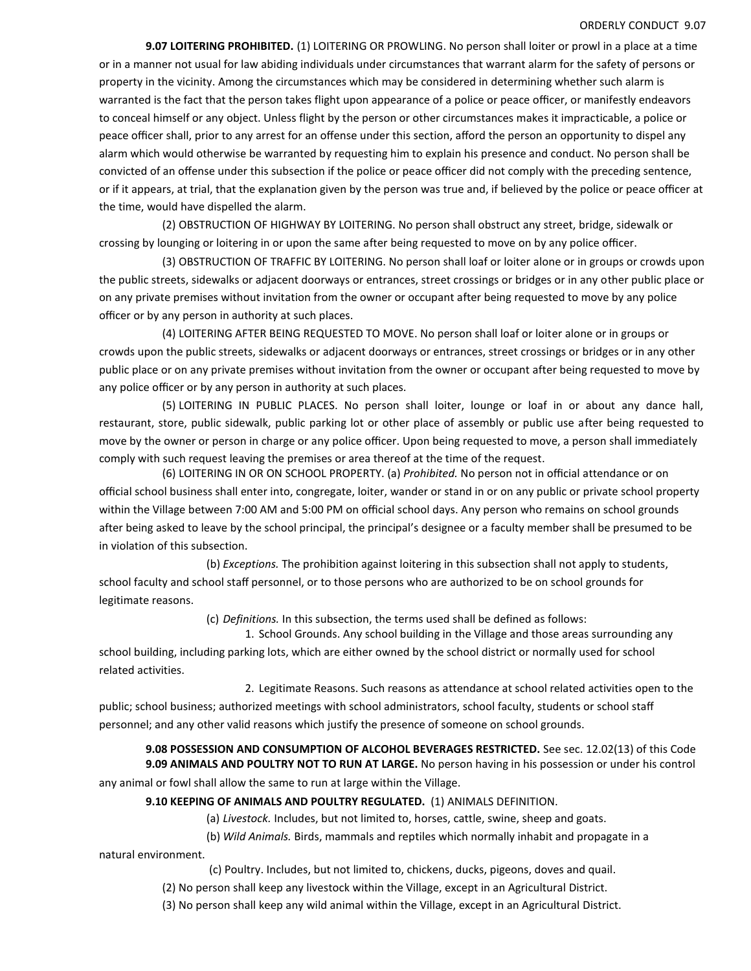#### ORDERLY CONDUCT 9.07

**9.07 LOITERING PROHIBITED.** (1) LOITERING OR PROWLING. No person shall loiter or prowl in a place at a time or in a manner not usual for law abiding individuals under circumstances that warrant alarm for the safety of persons or property in the vicinity. Among the circumstances which may be considered in determining whether such alarm is warranted is the fact that the person takes flight upon appearance of a police or peace officer, or manifestly endeavors to conceal himself or any object. Unless flight by the person or other circumstances makes it impracticable, a police or peace officer shall, prior to any arrest for an offense under this section, afford the person an opportunity to dispel any alarm which would otherwise be warranted by requesting him to explain his presence and conduct. No person shall be convicted of an offense under this subsection if the police or peace officer did not comply with the preceding sentence, or if it appears, at trial, that the explanation given by the person was true and, if believed by the police or peace officer at the time, would have dispelled the alarm.

(2) OBSTRUCTION OF HIGHWAY BY LOITERING. No person shall obstruct any street, bridge, sidewalk or crossing by lounging or loitering in or upon the same after being requested to move on by any police officer.

(3) OBSTRUCTION OF TRAFFIC BY LOITERING. No person shall loaf or loiter alone or in groups or crowds upon the public streets, sidewalks or adjacent doorways or entrances, street crossings or bridges or in any other public place or on any private premises without invitation from the owner or occupant after being requested to move by any police officer or by any person in authority at such places.

(4) LOITERING AFTER BEING REQUESTED TO MOVE. No person shall loaf or loiter alone or in groups or crowds upon the public streets, sidewalks or adjacent doorways or entrances, street crossings or bridges or in any other public place or on any private premises without invitation from the owner or occupant after being requested to move by any police officer or by any person in authority at such places.

(5) LOITERING IN PUBLIC PLACES. No person shall loiter, lounge or loaf in or about any dance hall, restaurant, store, public sidewalk, public parking lot or other place of assembly or public use after being requested to move by the owner or person in charge or any police officer. Upon being requested to move, a person shall immediately comply with such request leaving the premises or area thereof at the time of the request.

(6) LOITERING IN OR ON SCHOOL PROPERTY. (a) *Prohibited.* No person not in official attendance or on official school business shall enter into, congregate, loiter, wander or stand in or on any public or private school property within the Village between 7:00 AM and 5:00 PM on official school days. Any person who remains on school grounds after being asked to leave by the school principal, the principal's designee or a faculty member shall be presumed to be in violation of this subsection.

(b) *Exceptions.* The prohibition against loitering in this subsection shall not apply to students, school faculty and school staff personnel, or to those persons who are authorized to be on school grounds for legitimate reasons.

(c) *Definitions.* In this subsection, the terms used shall be defined as follows:

1. School Grounds. Any school building in the Village and those areas surrounding any school building, including parking lots, which are either owned by the school district or normally used for school related activities.

2. Legitimate Reasons. Such reasons as attendance at school related activities open to the public; school business; authorized meetings with school administrators, school faculty, students or school staff personnel; and any other valid reasons which justify the presence of someone on school grounds.

**9.08 POSSESSION AND CONSUMPTION OF ALCOHOL BEVERAGES RESTRICTED.** See sec. 12.02(13) of this Code **9.09 ANIMALS AND POULTRY NOT TO RUN AT LARGE.** No person having in his possession or under his control any animal or fowl shall allow the same to run at large within the Village.

### **9.10 KEEPING OF ANIMALS AND POULTRY REGULATED.** (1) ANIMALS DEFINITION.

(a) *Livestock.* Includes, but not limited to, horses, cattle, swine, sheep and goats.

(b) *Wild Animals.* Birds, mammals and reptiles which normally inhabit and propagate in a

natural environment.

(c) Poultry. Includes, but not limited to, chickens, ducks, pigeons, doves and quail.

(2) No person shall keep any livestock within the Village, except in an Agricultural District.

(3) No person shall keep any wild animal within the Village, except in an Agricultural District.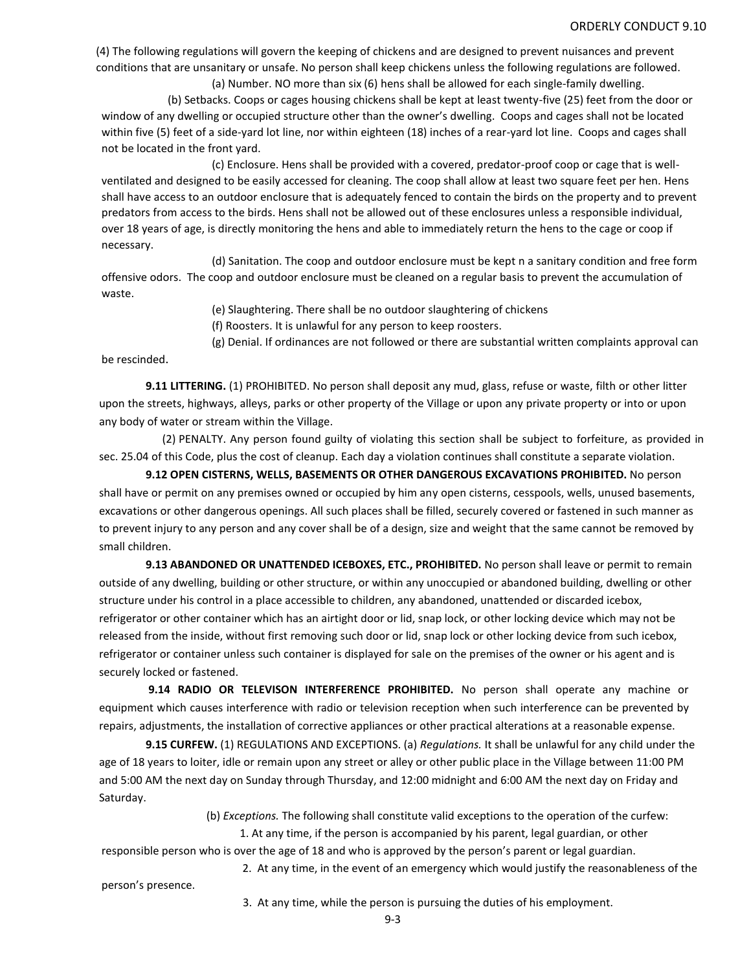(4) The following regulations will govern the keeping of chickens and are designed to prevent nuisances and prevent conditions that are unsanitary or unsafe. No person shall keep chickens unless the following regulations are followed. (a) Number. NO more than six (6) hens shall be allowed for each single-family dwelling.

(b) Setbacks. Coops or cages housing chickens shall be kept at least twenty-five (25) feet from the door or window of any dwelling or occupied structure other than the owner's dwelling. Coops and cages shall not be located within five (5) feet of a side-yard lot line, nor within eighteen (18) inches of a rear-yard lot line. Coops and cages shall not be located in the front yard.

(c) Enclosure. Hens shall be provided with a covered, predator-proof coop or cage that is wellventilated and designed to be easily accessed for cleaning. The coop shall allow at least two square feet per hen. Hens shall have access to an outdoor enclosure that is adequately fenced to contain the birds on the property and to prevent predators from access to the birds. Hens shall not be allowed out of these enclosures unless a responsible individual, over 18 years of age, is directly monitoring the hens and able to immediately return the hens to the cage or coop if necessary.

(d) Sanitation. The coop and outdoor enclosure must be kept n a sanitary condition and free form offensive odors. The coop and outdoor enclosure must be cleaned on a regular basis to prevent the accumulation of waste.

(e) Slaughtering. There shall be no outdoor slaughtering of chickens

(f) Roosters. It is unlawful for any person to keep roosters.

(g) Denial. If ordinances are not followed or there are substantial written complaints approval can

be rescinded.

**9.11 LITTERING.** (1) PROHIBITED. No person shall deposit any mud, glass, refuse or waste, filth or other litter upon the streets, highways, alleys, parks or other property of the Village or upon any private property or into or upon any body of water or stream within the Village.

(2) PENALTY. Any person found guilty of violating this section shall be subject to forfeiture, as provided in sec. 25.04 of this Code, plus the cost of cleanup. Each day a violation continues shall constitute a separate violation.

**9.12 OPEN CISTERNS, WELLS, BASEMENTS OR OTHER DANGEROUS EXCAVATIONS PROHIBITED.** No person shall have or permit on any premises owned or occupied by him any open cisterns, cesspools, wells, unused basements, excavations or other dangerous openings. All such places shall be filled, securely covered or fastened in such manner as to prevent injury to any person and any cover shall be of a design, size and weight that the same cannot be removed by small children.

**9.13 ABANDONED OR UNATTENDED ICEBOXES, ETC., PROHIBITED.** No person shall leave or permit to remain outside of any dwelling, building or other structure, or within any unoccupied or abandoned building, dwelling or other structure under his control in a place accessible to children, any abandoned, unattended or discarded icebox, refrigerator or other container which has an airtight door or lid, snap lock, or other locking device which may not be released from the inside, without first removing such door or lid, snap lock or other locking device from such icebox, refrigerator or container unless such container is displayed for sale on the premises of the owner or his agent and is securely locked or fastened.

**9.14 RADIO OR TELEVISON INTERFERENCE PROHIBITED.** No person shall operate any machine or equipment which causes interference with radio or television reception when such interference can be prevented by repairs, adjustments, the installation of corrective appliances or other practical alterations at a reasonable expense.

**9.15 CURFEW.** (1) REGULATIONS AND EXCEPTIONS. (a) *Regulations.* It shall be unlawful for any child under the age of 18 years to loiter, idle or remain upon any street or alley or other public place in the Village between 11:00 PM and 5:00 AM the next day on Sunday through Thursday, and 12:00 midnight and 6:00 AM the next day on Friday and Saturday.

(b) *Exceptions.* The following shall constitute valid exceptions to the operation of the curfew:

 1. At any time, if the person is accompanied by his parent, legal guardian, or other responsible person who is over the age of 18 and who is approved by the person's parent or legal guardian.

2. At any time, in the event of an emergency which would justify the reasonableness of the

person's presence.

3. At any time, while the person is pursuing the duties of his employment.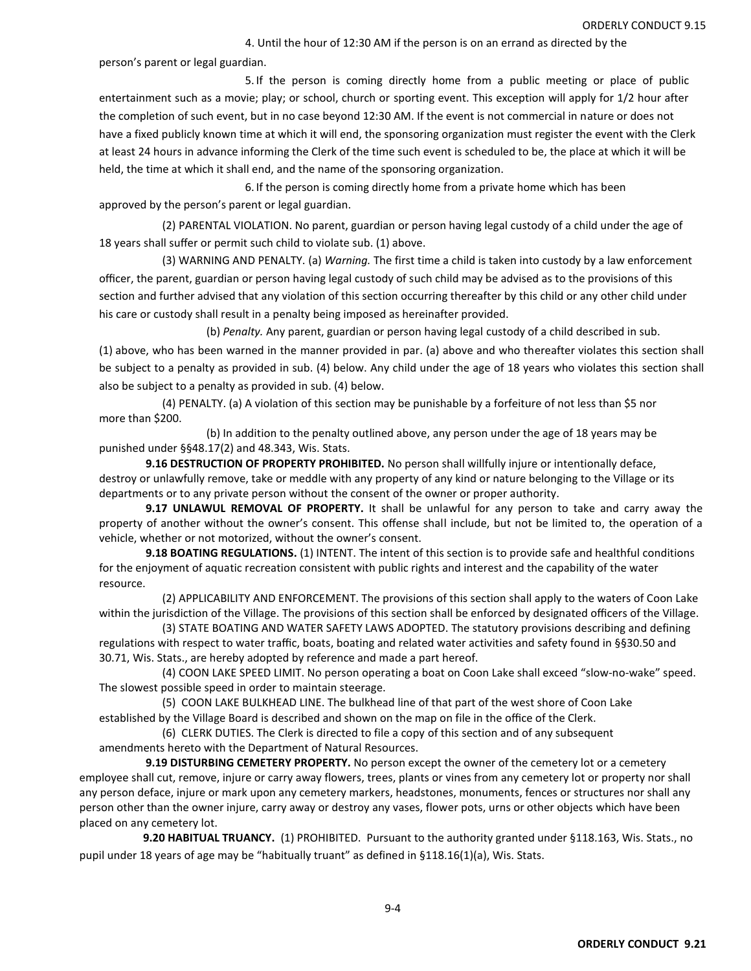4. Until the hour of 12:30 AM if the person is on an errand as directed by the

person's parent or legal guardian.

5. If the person is coming directly home from a public meeting or place of public entertainment such as a movie; play; or school, church or sporting event. This exception will apply for 1/2 hour after the completion of such event, but in no case beyond 12:30 AM. If the event is not commercial in nature or does not have a fixed publicly known time at which it will end, the sponsoring organization must register the event with the Clerk at least 24 hours in advance informing the Clerk of the time such event is scheduled to be, the place at which it will be held, the time at which it shall end, and the name of the sponsoring organization.

6. If the person is coming directly home from a private home which has been approved by the person's parent or legal guardian.

(2) PARENTAL VIOLATION. No parent, guardian or person having legal custody of a child under the age of 18 years shall suffer or permit such child to violate sub. (1) above.

(3) WARNING AND PENALTY. (a) *Warning.* The first time a child is taken into custody by a law enforcement officer, the parent, guardian or person having legal custody of such child may be advised as to the provisions of this section and further advised that any violation of this section occurring thereafter by this child or any other child under his care or custody shall result in a penalty being imposed as hereinafter provided.

(b) *Penalty.* Any parent, guardian or person having legal custody of a child described in sub. (1) above, who has been warned in the manner provided in par. (a) above and who thereafter violates this section shall be subject to a penalty as provided in sub. (4) below. Any child under the age of 18 years who violates this section shall also be subject to a penalty as provided in sub. (4) below.

(4) PENALTY. (a) A violation of this section may be punishable by a forfeiture of not less than \$5 nor more than \$200.

(b) In addition to the penalty outlined above, any person under the age of 18 years may be punished under §§48.17(2) and 48.343, Wis. Stats.

**9.16 DESTRUCTION OF PROPERTY PROHIBITED.** No person shall willfully injure or intentionally deface, destroy or unlawfully remove, take or meddle with any property of any kind or nature belonging to the Village or its departments or to any private person without the consent of the owner or proper authority.

**9.17 UNLAWUL REMOVAL OF PROPERTY.** It shall be unlawful for any person to take and carry away the property of another without the owner's consent. This offense shall include, but not be limited to, the operation of a vehicle, whether or not motorized, without the owner's consent.

**9.18 BOATING REGULATIONS.** (1) INTENT. The intent of this section is to provide safe and healthful conditions for the enjoyment of aquatic recreation consistent with public rights and interest and the capability of the water resource.

(2) APPLICABILITY AND ENFORCEMENT. The provisions of this section shall apply to the waters of Coon Lake within the jurisdiction of the Village. The provisions of this section shall be enforced by designated officers of the Village.

(3) STATE BOATING AND WATER SAFETY LAWS ADOPTED. The statutory provisions describing and defining regulations with respect to water traffic, boats, boating and related water activities and safety found in §§30.50 and 30.71, Wis. Stats., are hereby adopted by reference and made a part hereof.

(4) COON LAKE SPEED LIMIT. No person operating a boat on Coon Lake shall exceed "slow‐no‐wake" speed. The slowest possible speed in order to maintain steerage.

(5) COON LAKE BULKHEAD LINE. The bulkhead line of that part of the west shore of Coon Lake established by the Village Board is described and shown on the map on file in the office of the Clerk.

(6) CLERK DUTIES. The Clerk is directed to file a copy of this section and of any subsequent amendments hereto with the Department of Natural Resources.

9.19 DISTURBING CEMETERY PROPERTY. No person except the owner of the cemetery lot or a cemetery employee shall cut, remove, injure or carry away flowers, trees, plants or vines from any cemetery lot or property nor shall any person deface, injure or mark upon any cemetery markers, headstones, monuments, fences or structures nor shall any person other than the owner injure, carry away or destroy any vases, flower pots, urns or other objects which have been placed on any cemetery lot.

 **9.20 HABITUAL TRUANCY.** (1) PROHIBITED. Pursuant to the authority granted under §118.163, Wis. Stats., no pupil under 18 years of age may be "habitually truant" as defined in §118.16(1)(a), Wis. Stats.